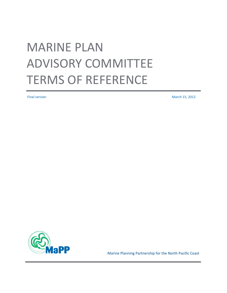# MARINE PLAN ADVISORY COMMITTEE TERMS OF REFERENCE

Final version March 15, 2012



Marine Planning Partnership for the North Pacific Coast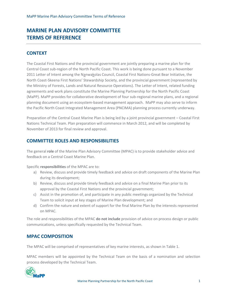# **MARINE PLAN ADVISORY COMMITTEE TERMS OF REFERENCE**

# **CONTEXT**

The Coastal First Nations and the provincial government are jointly preparing a marine plan for the Central Coast sub-region of the North Pacific Coast. This work is being done pursuant to a November 2011 Letter of Intent among the Nanwakolas Council, Coastal First Nations-Great Bear Initiative, the North Coast-Skeena First Nations' Stewardship Society, and the provincial government (represented by the Ministry of Forests, Lands and Natural Resource Operations). The Letter of Intent, related funding agreements and work plans constitute the Marine Planning Partnership for the North Pacific Coast (MaPP). MaPP provides for collaborative development of four sub-regional marine plans, and a regional planning document using an ecosystem-based management approach. MaPP may also serve to inform the Pacific North Coast Integrated Management Area (PNCIMA) planning process currently underway.

Preparation of the Central Coast Marine Plan is being led by a joint provincial government – Coastal First Nations Technical Team. Plan preparation will commence in March 2012, and will be completed by November of 2013 for final review and approval.

# **COMMITTEE ROLES AND RESPONSIBILITIES**

The general **role** of the Marine Plan Advisory Committee (MPAC) is to provide stakeholder advice and feedback on a Central Coast Marine Plan.

Specific **responsibilities** of the MPAC are to:

- a) Review, discuss and provide timely feedback and advice on draft components of the Marine Plan during its development;
- b) Review, discuss and provide timely feedback and advice on a final Marine Plan prior to its approval by the Coastal First Nations and the provincial government;
- c) Assist in the promotion of, and participate in any public meetings organized by the Technical Team to solicit input at key stages of Marine Plan development; and
- d) Confirm the nature and extent of support for the final Marine Plan by the interests represented on MPAC.

The role and responsibilities of the MPAC **do not include** provision of advice on process design or public communications, unless specifically requested by the Technical Team.

# **MPAC COMPOSITION**

The MPAC will be comprised of representatives of key marine interests, as shown in Table 1.

MPAC members will be appointed by the Technical Team on the basis of a nomination and selection process developed by the Technical Team.

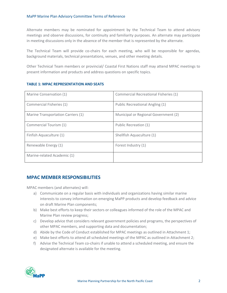#### MaPP Marine Plan Advisory Committee Terms of Reference

Alternate members may be nominated for appointment by the Technical Team to attend advisory meetings and observe discussions, for continuity and familiarity purposes. An alternate may participate in meeting discussions only in the absence of the member that is represented by the alternate.

The Technical Team will provide co-chairs for each meeting, who will be responsible for agendas, background materials, technical presentations, venues, and other meeting details.

Other Technical Team members or provincial/ Coastal First Nations staff may attend MPAC meetings to present information and products and address questions on specific topics.

| Marine Conservation (1)            | Commercial Recreational Fisheries (1) |
|------------------------------------|---------------------------------------|
| Commercial Fisheries (1)           | Public Recreational Angling (1)       |
| Marine Transportation Carriers (1) | Municipal or Regional Government (2)  |
| Commercial Tourism (1)             | Public Recreation (1)                 |
| Finfish Aquaculture (1)            | Shellfish Aquaculture (1)             |
| Renewable Energy (1)               | Forest Industry (1)                   |
| Marine-related Academic (1)        |                                       |

#### **TABLE 1: MPAC REPRESENTATION AND SEATS**

## **MPAC MEMBER RESPONSIBILITIES**

MPAC members (and alternates) will:

- a) Communicate on a regular basis with individuals and organizations having similar marine interests to convey information on emerging MaPP products and develop feedback and advice on draft Marine Plan components;
- b) Make best efforts to keep their sectors or colleagues informed of the role of the MPAC and Marine Plan review progress;
- c) Develop advice that considers relevant government policies and programs, the perspectives of other MPAC members, and supporting data and documentation;
- d) Abide by the Code of Conduct established for MPAC meetings as outlined in Attachment 1;
- e) Make best efforts to attend all scheduled meetings of the MPAC as outlined in Attachment 2;
- f) Advise the Technical Team co-chairs if unable to attend a scheduled meeting, and ensure the designated alternate is available for the meeting.

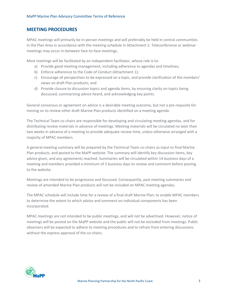## **MEETING PROCEDURES**

MPAC meetings will primarily be in-person meetings and will preferably be held in central communities in the Plan Area in accordance with the meeting schedule in Attachment 2. Teleconference or webinar meetings may occur in-between face-to-face meetings.

Most meetings will be facilitated by an independent facilitator, whose role is to:

- a) Provide good meeting management, including adherence to agendas and timelines;
- b) Enforce adherence to the Code of Conduct (Attachment 1);
- c) Encourage all perspectives to be expressed on a topic, and provide clarification of the members' views on draft Plan products; and
- d) Provide closure to discussion topics and agenda items, by ensuring clarity on topics being discussed, summarizing advice heard, and acknowledging key points.

General consensus or agreement on advice is a desirable meeting outcome, but not a pre-requisite for moving on to review other draft Marine Plan products identified on a meeting agenda.

The Technical Team co-chairs are responsible for developing and circulating meeting agendas, and for distributing review materials in advance of meetings. Meeting materials will be circulated no later than two weeks in advance of a meeting to provide adequate review time, unless otherwise arranged with a majority of MPAC members.

A general meeting summary will be prepared by the Technical Team co-chairs as input to final Marine Plan products, and posted to the MaPP website. The summary will identify key discussion items, key advice given, and any agreements reached. Summaries will be circulated within 14 business days of a meeting and members provided a minimum of 5 business days to review and comment before posting to the website.

Meetings are intended to be progressive and focussed. Consequently, past meeting summaries and review of amended Marine Plan products will not be included on MPAC meeting agendas.

The MPAC schedule will include time for a review of a final draft Marine Plan; to enable MPAC members to determine the extent to which advice and comment on individual components has been incorporated.

MPAC meetings are not intended to be public meetings, and will not be advertised. However, notice of meetings will be posted on the MaPP website and the public will not be excluded from meetings. Public observers will be expected to adhere to meeting procedures and to refrain from entering discussions without the express approval of the co-chairs.

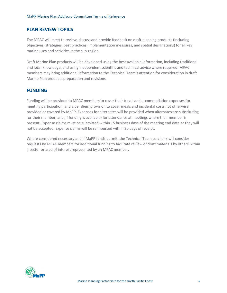# **PLAN REVIEW TOPICS**

The MPAC will meet to review, discuss and provide feedback on draft planning products (including objectives, strategies, best practices, implementation measures, and spatial designations) for all key marine uses and activities in the sub-region.

Draft Marine Plan products will be developed using the best available information, including traditional and local knowledge, and using independent scientific and technical advice where required. MPAC members may bring additional information to the Technical Team's attention for consideration in draft Marine Plan products preparation and revisions.

### **FUNDING**

Funding will be provided to MPAC members to cover their travel and accommodation expenses for meeting participation, and a per diem provision to cover meals and incidental costs not otherwise provided or covered by MaPP. Expenses for alternates will be provided when alternates are substituting for their member, and (if funding is available) for attendance at meetings where their member is present. Expense claims must be submitted within 15 business days of the meeting end date or they will not be accepted. Expense claims will be reimbursed within 30 days of receipt.

Where considered necessary and if MaPP funds permit, the Technical Team co-chairs will consider requests by MPAC members for additional funding to facilitate review of draft materials by others within a sector or area of interest represented by an MPAC member.

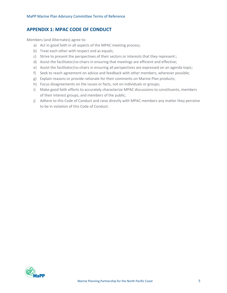# **APPENDIX 1: MPAC CODE OF CONDUCT**

Members (and Alternates) agree to:

- a) Act in good faith in all aspects of the MPAC meeting process;
- b) Treat each other with respect and as equals;
- c) Strive to present the perspectives of their sectors or interests that they represent:;
- d) Assist the facilitator/co-chairs in ensuring that meetings are efficient and effective;
- e) Assist the facilitator/co-chairs in ensuring all perspectives are expressed on an agenda topic;
- f) Seek to reach agreement on advice and feedback with other members, wherever possible;
- g) Explain reasons or provide rationale for their comments on Marine Plan products;
- h) Focus disagreements on the issues or facts, not on individuals or groups;
- i) Make good faith efforts to accurately characterize MPAC discussions to constituents, members of their interest groups, and members of the public;
- j) Adhere to this Code of Conduct and raise directly with MPAC members any matter they perceive to be in violation of this Code of Conduct.

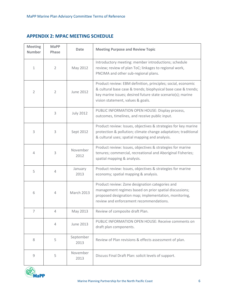# **APPENDIX 2: MPAC MEETING SCHEDULE**

| <b>Meeting</b><br><b>Number</b> | <b>MaPP</b><br>Phase | <b>Date</b>       | <b>Meeting Purpose and Review Topic</b>                                                                                                                                                                                            |
|---------------------------------|----------------------|-------------------|------------------------------------------------------------------------------------------------------------------------------------------------------------------------------------------------------------------------------------|
| $\mathbf 1$                     | $\overline{2}$       | May 2012          | Introductory meeting: member introductions; schedule<br>review; review of plan ToC; linkages to regional work,<br>PNCIMA and other sub-regional plans.                                                                             |
| $\overline{2}$                  | $\overline{2}$       | June 2012         | Product review: EBM definition, principles; social, economic<br>& cultural base case & trends; biophysical base case & trends;<br>key marine issues; desired future state scenario(s); marine<br>vision statement, values & goals. |
|                                 | 3                    | <b>July 2012</b>  | PUBLIC INFORMATION OPEN HOUSE: Display process,<br>outcomes, timelines, and receive public input.                                                                                                                                  |
| 3                               | 3                    | Sept 2012         | Product review: Issues, objectives & strategies for key marine<br>protection & pollution; climate change adaptation; traditional<br>& cultural uses; spatial mapping and analysis.                                                 |
| 4                               | 3                    | November<br>2012  | Product review: Issues, objectives & strategies for marine<br>tenures; commercial, recreational and Aboriginal Fisheries;<br>spatial mapping & analysis.                                                                           |
| 5                               | 4                    | January<br>2013   | Product review: Issues, objectives & strategies for marine<br>economy; spatial mapping & analysis.                                                                                                                                 |
| 6                               | $\overline{4}$       | <b>March 2013</b> | Product review: Zone designation categories and<br>management regimes based on prior spatial discussions;<br>proposed designation map; implementation, monitoring,<br>review and enforcement recommendations.                      |
| 7                               | 4                    | May 2013          | Review of composite draft Plan.                                                                                                                                                                                                    |
|                                 | $\overline{4}$       | June 2013         | PUBLIC INFORMATION OPEN HOUSE: Receive comments on<br>draft plan components.                                                                                                                                                       |
| 8                               | 5                    | September<br>2013 | Review of Plan revisions & effects assessment of plan.                                                                                                                                                                             |
| 9                               | 5                    | November<br>2013  | Discuss Final Draft Plan: solicit levels of support.                                                                                                                                                                               |

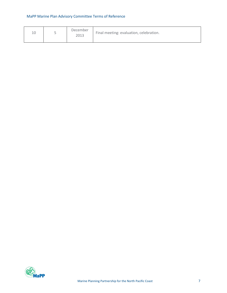# MaPP Marine Plan Advisory Committee Terms of Reference

| 1 ∩<br>Τn | December<br>2013 | Final meeting: evaluation, celebration. |
|-----------|------------------|-----------------------------------------|
|           |                  |                                         |

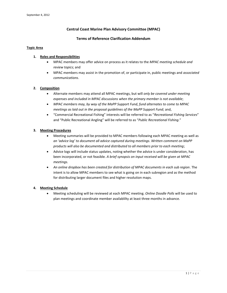#### **Central Coast Marine Plan Advisory Committee (MPAC)**

#### **Terms of Reference Clarification Addendum**

#### **Topic Area**

#### **1. Roles and Responsibilities**

- MPAC members may offer advice on process as it relates to the *MPAC meeting schedule and review topics*; and
- MPAC members may assist in the promotion of, or participate in, public meetings and *associated communications*.

#### **2. Composition**

- Alternate members may attend all MPAC meetings, but will *only be covered under meeting expenses and included in MPAC discussions when the primary member is not available*;
- *MPAC members may, by way of the MaPP Support Fund, fund alternates to come to MPAC meetings as laid out in the proposal guidelines of the MaPP Support Fund*; and,
- "Commercial Recreational Fishing" interests will be referred to as "*Recreational Fishing Services*" and "Public Recreational Angling" will be referred to as "*Public Recreational Fishing.*"

#### **3. Meeting Procedures**

- Meeting summaries will be provided to MPAC members following each MPAC meeting as well as *an 'advice log' to document all advice captured during meetings*. *Written comment on MaPP products will also be documented and distributed to all members prior to each meeting*;
- Advice logs will include status updates, noting whether the advice is under consideration, has been incorporated, or not feasible. *A brief synopsis on input received will be given at MPAC meetings.*
- *An online dropbox has been created for distribution of MPAC documents in each sub region*. The intent is to allow MPAC members to see what is going on in each subregion and as the method for distributing larger document files and higher resolution maps.

#### **4. Meeting Schedule**

 Meeting scheduling will be reviewed at each MPAC meeting. *Online Doodle Polls* will be used to plan meetings and coordinate member availablilty at least three months in advance.